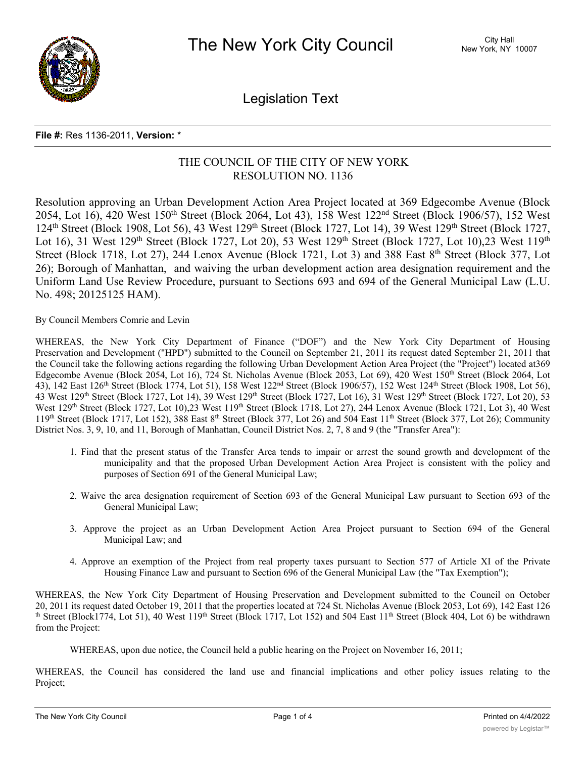

Legislation Text

## **File #:** Res 1136-2011, **Version:** \*

## THE COUNCIL OF THE CITY OF NEW YORK RESOLUTION NO. 1136

Resolution approving an Urban Development Action Area Project located at 369 Edgecombe Avenue (Block 2054, Lot 16), 420 West 150<sup>th</sup> Street (Block 2064, Lot 43), 158 West 122<sup>nd</sup> Street (Block 1906/57), 152 West 124th Street (Block 1908, Lot 56), 43 West 129th Street (Block 1727, Lot 14), 39 West 129th Street (Block 1727, Lot 16), 31 West 129<sup>th</sup> Street (Block 1727, Lot 20), 53 West 129<sup>th</sup> Street (Block 1727, Lot 10), 23 West 119<sup>th</sup> Street (Block 1718, Lot 27), 244 Lenox Avenue (Block 1721, Lot 3) and 388 East 8<sup>th</sup> Street (Block 377, Lot 26); Borough of Manhattan, and waiving the urban development action area designation requirement and the Uniform Land Use Review Procedure, pursuant to Sections 693 and 694 of the General Municipal Law (L.U. No. 498; 20125125 HAM).

By Council Members Comrie and Levin

WHEREAS, the New York City Department of Finance ("DOF") and the New York City Department of Housing Preservation and Development ("HPD") submitted to the Council on September 21, 2011 its request dated September 21, 2011 that the Council take the following actions regarding the following Urban Development Action Area Project (the "Project") located at369 Edgecombe Avenue (Block 2054, Lot 16), 724 St. Nicholas Avenue (Block 2053, Lot 69), 420 West 150th Street (Block 2064, Lot 43), 142 East 126<sup>th</sup> Street (Block 1774, Lot 51), 158 West 122<sup>nd</sup> Street (Block 1906/57), 152 West 124<sup>th</sup> Street (Block 1908, Lot 56), 43 West 129<sup>th</sup> Street (Block 1727, Lot 14), 39 West 129<sup>th</sup> Street (Block 1727, Lot 16), 31 West 129<sup>th</sup> Street (Block 1727, Lot 20), 53 West 129<sup>th</sup> Street (Block 1727, Lot 10),23 West 119<sup>th</sup> Street (Block 1718, Lot 27), 244 Lenox Avenue (Block 1721, Lot 3), 40 West  $119<sup>th</sup> Street (Block 1717, Lot 152), 388 East 8<sup>th</sup> Street (Block 377, Lot 26) and 504 East  $11<sup>th</sup>$  Street (Block 377, Lot 26); Community$ District Nos. 3, 9, 10, and 11, Borough of Manhattan, Council District Nos. 2, 7, 8 and 9 (the "Transfer Area"):

- 1. Find that the present status of the Transfer Area tends to impair or arrest the sound growth and development of the municipality and that the proposed Urban Development Action Area Project is consistent with the policy and purposes of Section 691 of the General Municipal Law;
- 2. Waive the area designation requirement of Section 693 of the General Municipal Law pursuant to Section 693 of the General Municipal Law;
- 3. Approve the project as an Urban Development Action Area Project pursuant to Section 694 of the General Municipal Law; and
- 4. Approve an exemption of the Project from real property taxes pursuant to Section 577 of Article XI of the Private Housing Finance Law and pursuant to Section 696 of the General Municipal Law (the "Tax Exemption");

WHEREAS, the New York City Department of Housing Preservation and Development submitted to the Council on October 20, 2011 its request dated October 19, 2011 that the properties located at 724 St. Nicholas Avenue (Block 2053, Lot 69), 142 East 126 th Street (Block1774, Lot 51), 40 West 119th Street (Block 1717, Lot 152) and 504 East  $11<sup>th</sup>$  Street (Block 404, Lot 6) be withdrawn from the Project:

WHEREAS, upon due notice, the Council held a public hearing on the Project on November 16, 2011;

WHEREAS, the Council has considered the land use and financial implications and other policy issues relating to the Project;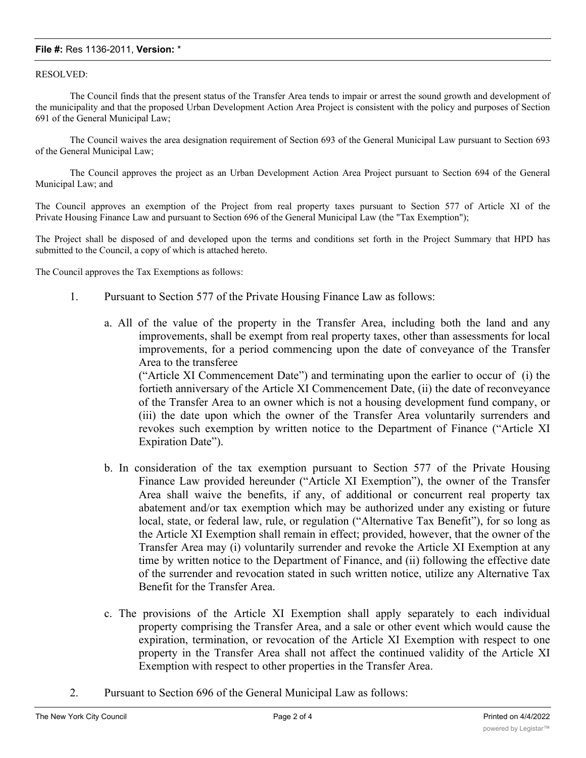## **File #:** Res 1136-2011, **Version:** \*

## RESOLVED:

The Council finds that the present status of the Transfer Area tends to impair or arrest the sound growth and development of the municipality and that the proposed Urban Development Action Area Project is consistent with the policy and purposes of Section 691 of the General Municipal Law;

The Council waives the area designation requirement of Section 693 of the General Municipal Law pursuant to Section 693 of the General Municipal Law;

The Council approves the project as an Urban Development Action Area Project pursuant to Section 694 of the General Municipal Law; and

The Council approves an exemption of the Project from real property taxes pursuant to Section 577 of Article XI of the Private Housing Finance Law and pursuant to Section 696 of the General Municipal Law (the "Tax Exemption");

The Project shall be disposed of and developed upon the terms and conditions set forth in the Project Summary that HPD has submitted to the Council, a copy of which is attached hereto.

The Council approves the Tax Exemptions as follows:

- 1. Pursuant to Section 577 of the Private Housing Finance Law as follows:
	- a. All of the value of the property in the Transfer Area, including both the land and any improvements, shall be exempt from real property taxes, other than assessments for local improvements, for a period commencing upon the date of conveyance of the Transfer Area to the transferee

("Article XI Commencement Date") and terminating upon the earlier to occur of (i) the fortieth anniversary of the Article XI Commencement Date, (ii) the date of reconveyance of the Transfer Area to an owner which is not a housing development fund company, or (iii) the date upon which the owner of the Transfer Area voluntarily surrenders and revokes such exemption by written notice to the Department of Finance ("Article XI Expiration Date").

- b. In consideration of the tax exemption pursuant to Section 577 of the Private Housing Finance Law provided hereunder ("Article XI Exemption"), the owner of the Transfer Area shall waive the benefits, if any, of additional or concurrent real property tax abatement and/or tax exemption which may be authorized under any existing or future local, state, or federal law, rule, or regulation ("Alternative Tax Benefit"), for so long as the Article XI Exemption shall remain in effect; provided, however, that the owner of the Transfer Area may (i) voluntarily surrender and revoke the Article XI Exemption at any time by written notice to the Department of Finance, and (ii) following the effective date of the surrender and revocation stated in such written notice, utilize any Alternative Tax Benefit for the Transfer Area.
- c. The provisions of the Article XI Exemption shall apply separately to each individual property comprising the Transfer Area, and a sale or other event which would cause the expiration, termination, or revocation of the Article XI Exemption with respect to one property in the Transfer Area shall not affect the continued validity of the Article XI Exemption with respect to other properties in the Transfer Area.
- 2. Pursuant to Section 696 of the General Municipal Law as follows: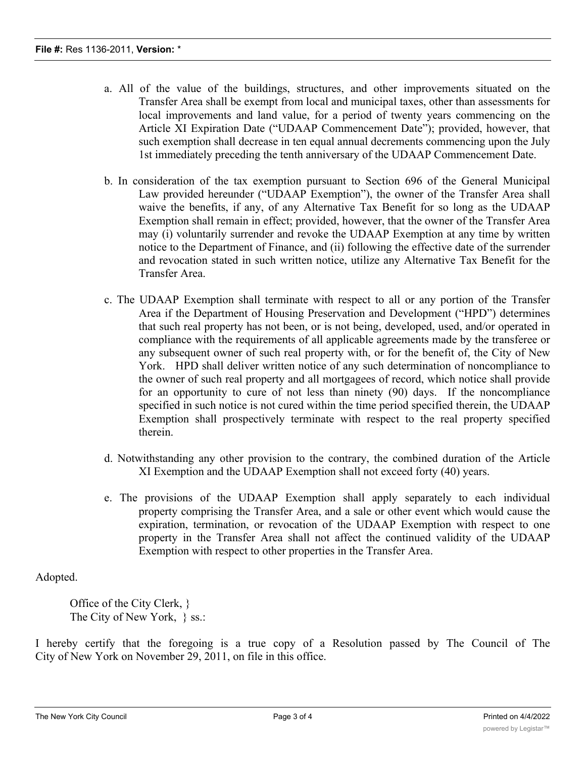- a. All of the value of the buildings, structures, and other improvements situated on the Transfer Area shall be exempt from local and municipal taxes, other than assessments for local improvements and land value, for a period of twenty years commencing on the Article XI Expiration Date ("UDAAP Commencement Date"); provided, however, that such exemption shall decrease in ten equal annual decrements commencing upon the July 1st immediately preceding the tenth anniversary of the UDAAP Commencement Date.
- b. In consideration of the tax exemption pursuant to Section 696 of the General Municipal Law provided hereunder ("UDAAP Exemption"), the owner of the Transfer Area shall waive the benefits, if any, of any Alternative Tax Benefit for so long as the UDAAP Exemption shall remain in effect; provided, however, that the owner of the Transfer Area may (i) voluntarily surrender and revoke the UDAAP Exemption at any time by written notice to the Department of Finance, and (ii) following the effective date of the surrender and revocation stated in such written notice, utilize any Alternative Tax Benefit for the Transfer Area.
- c. The UDAAP Exemption shall terminate with respect to all or any portion of the Transfer Area if the Department of Housing Preservation and Development ("HPD") determines that such real property has not been, or is not being, developed, used, and/or operated in compliance with the requirements of all applicable agreements made by the transferee or any subsequent owner of such real property with, or for the benefit of, the City of New York. HPD shall deliver written notice of any such determination of noncompliance to the owner of such real property and all mortgagees of record, which notice shall provide for an opportunity to cure of not less than ninety (90) days. If the noncompliance specified in such notice is not cured within the time period specified therein, the UDAAP Exemption shall prospectively terminate with respect to the real property specified therein.
- d. Notwithstanding any other provision to the contrary, the combined duration of the Article XI Exemption and the UDAAP Exemption shall not exceed forty (40) years.
- e. The provisions of the UDAAP Exemption shall apply separately to each individual property comprising the Transfer Area, and a sale or other event which would cause the expiration, termination, or revocation of the UDAAP Exemption with respect to one property in the Transfer Area shall not affect the continued validity of the UDAAP Exemption with respect to other properties in the Transfer Area.

Adopted.

Office of the City Clerk, } The City of New York, } ss.:

I hereby certify that the foregoing is a true copy of a Resolution passed by The Council of The City of New York on November 29, 2011, on file in this office.